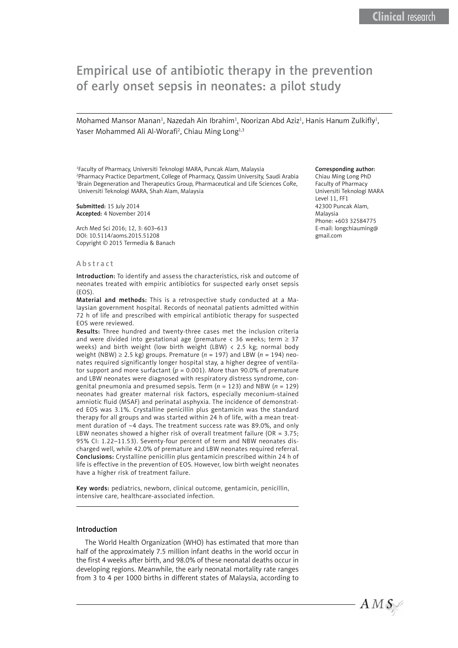# Empirical use of antibiotic therapy in the prevention of early onset sepsis in neonates: a pilot study

Mohamed Mansor Manan<sup>1</sup>, Nazedah Ain Ibrahim<sup>1</sup>, Noorizan Abd Aziz<sup>1</sup>, Hanis Hanum Zulkifly<sup>1</sup>, Yaser Mohammed Ali Al-Worafi<sup>2</sup>, Chiau Ming Long<sup>1,3</sup>

Faculty of Pharmacy, Universiti Teknologi MARA, Puncak Alam, Malaysia Pharmacy Practice Department, College of Pharmacy, Qassim University, Saudi Arabia Brain Degeneration and Therapeutics Group, Pharmaceutical and Life Sciences CoRe, Universiti Teknologi MARA, Shah Alam, Malaysia

Submitted: 15 July 2014 Accepted: 4 November 2014

Arch Med Sci 2016; 12, 3: 603–613 DOI: 10.5114/aoms.2015.51208 Copyright © 2015 Termedia & Banach

#### Abstract

Introduction: To identify and assess the characteristics, risk and outcome of neonates treated with empiric antibiotics for suspected early onset sepsis (EOS).

Material and methods: This is a retrospective study conducted at a Malaysian government hospital. Records of neonatal patients admitted within 72 h of life and prescribed with empirical antibiotic therapy for suspected EOS were reviewed.

Results: Three hundred and twenty-three cases met the inclusion criteria and were divided into gestational age (premature < 36 weeks; term  $\geq$  37 weeks) and birth weight (low birth weight (LBW)  $\langle$  2.5 kg; normal body weight (NBW) ≥ 2.5 kg) groups. Premature (*n* = 197) and LBW (*n* = 194) neonates required significantly longer hospital stay, a higher degree of ventilator support and more surfactant ( $p = 0.001$ ). More than 90.0% of premature and LBW neonates were diagnosed with respiratory distress syndrome, congenital pneumonia and presumed sepsis. Term (*n* = 123) and NBW (*n* = 129) neonates had greater maternal risk factors, especially meconium-stained amniotic fluid (MSAF) and perinatal asphyxia. The incidence of demonstrated EOS was 3.1%. Crystalline penicillin plus gentamicin was the standard therapy for all groups and was started within 24 h of life, with a mean treatment duration of ~4 days. The treatment success rate was 89.0%, and only LBW neonates showed a higher risk of overall treatment failure (OR = 3.75; 95% CI: 1.22–11.53). Seventy-four percent of term and NBW neonates discharged well, while 42.0% of premature and LBW neonates required referral. Conclusions: Crystalline penicillin plus gentamicin prescribed within 24 h of life is effective in the prevention of EOS. However, low birth weight neonates have a higher risk of treatment failure.

Key words: pediatrics, newborn, clinical outcome, gentamicin, penicillin, intensive care, healthcare-associated infection.

#### Introduction

The World Health Organization (WHO) has estimated that more than half of the approximately 7.5 million infant deaths in the world occur in the first 4 weeks after birth, and 98.0% of these neonatal deaths occur in developing regions. Meanwhile, the early neonatal mortality rate ranges from 3 to 4 per 1000 births in different states of Malaysia, according to

#### Corresponding author:

Chiau Ming Long PhD Faculty of Pharmacy Universiti Teknologi MARA Level 11, FF1 42300 Puncak Alam, Malaysia Phone: +603 32584775 E-mail: longchiauming@ gmail.com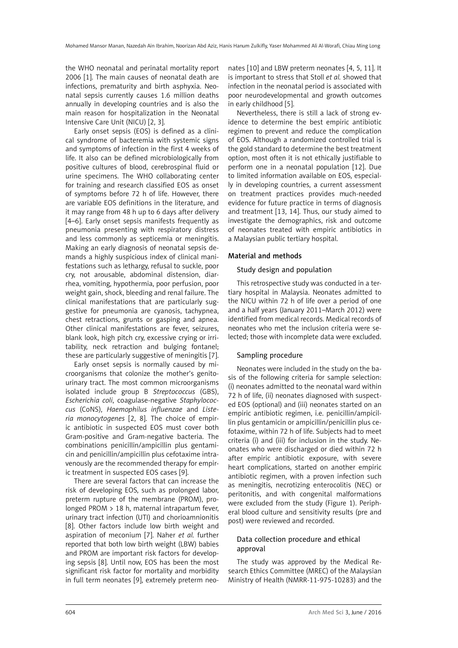the WHO neonatal and perinatal mortality report 2006 [1]. The main causes of neonatal death are infections, prematurity and birth asphyxia. Neonatal sepsis currently causes 1.6 million deaths annually in developing countries and is also the main reason for hospitalization in the Neonatal Intensive Care Unit (NICU) [2, 3].

Early onset sepsis (EOS) is defined as a clinical syndrome of bacteremia with systemic signs and symptoms of infection in the first 4 weeks of life. It also can be defined microbiologically from positive cultures of blood, cerebrospinal fluid or urine specimens. The WHO collaborating center for training and research classified EOS as onset of symptoms before 72 h of life. However, there are variable EOS definitions in the literature, and it may range from 48 h up to 6 days after delivery [4–6]. Early onset sepsis manifests frequently as pneumonia presenting with respiratory distress and less commonly as septicemia or meningitis. Making an early diagnosis of neonatal sepsis demands a highly suspicious index of clinical manifestations such as lethargy, refusal to suckle, poor cry, not arousable, abdominal distension, diarrhea, vomiting, hypothermia, poor perfusion, poor weight gain, shock, bleeding and renal failure. The clinical manifestations that are particularly suggestive for pneumonia are cyanosis, tachypnea, chest retractions, grunts or gasping and apnea. Other clinical manifestations are fever, seizures, blank look, high pitch cry, excessive crying or irritability, neck retraction and bulging fontanel; these are particularly suggestive of meningitis [7].

Early onset sepsis is normally caused by microorganisms that colonize the mother's genitourinary tract. The most common microorganisms isolated include group B *Streptococcus* (GBS), *Escherichia coli*, coagulase-negative *Staphylococcus* (CoNS), *Haemophilus influenzae* and *Listeria monocytogenes* [2, 8]. The choice of empiric antibiotic in suspected EOS must cover both Gram-positive and Gram-negative bacteria. The combinations penicillin/ampicillin plus gentamicin and penicillin/ampicillin plus cefotaxime intravenously are the recommended therapy for empiric treatment in suspected EOS cases [9].

There are several factors that can increase the risk of developing EOS, such as prolonged labor, preterm rupture of the membrane (PROM), prolonged PROM > 18 h, maternal intrapartum fever, urinary tract infection (UTI) and chorioamnionitis [8]. Other factors include low birth weight and aspiration of meconium [7]. Naher *et al.* further reported that both low birth weight (LBW) babies and PROM are important risk factors for developing sepsis [8]. Until now, EOS has been the most significant risk factor for mortality and morbidity in full term neonates [9], extremely preterm neonates [10] and LBW preterm neonates [4, 5, 11]. It is important to stress that Stoll *et al.* showed that infection in the neonatal period is associated with poor neurodevelopmental and growth outcomes in early childhood [5].

Nevertheless, there is still a lack of strong evidence to determine the best empiric antibiotic regimen to prevent and reduce the complication of EOS. Although a randomized controlled trial is the gold standard to determine the best treatment option, most often it is not ethically justifiable to perform one in a neonatal population [12]. Due to limited information available on EOS, especially in developing countries, a current assessment on treatment practices provides much-needed evidence for future practice in terms of diagnosis and treatment [13, 14]. Thus, our study aimed to investigate the demographics, risk and outcome of neonates treated with empiric antibiotics in a Malaysian public tertiary hospital.

## Material and methods

## Study design and population

This retrospective study was conducted in a tertiary hospital in Malaysia. Neonates admitted to the NICU within 72 h of life over a period of one and a half years (January 2011–March 2012) were identified from medical records. Medical records of neonates who met the inclusion criteria were selected; those with incomplete data were excluded.

## Sampling procedure

Neonates were included in the study on the basis of the following criteria for sample selection: (i) neonates admitted to the neonatal ward within 72 h of life, (ii) neonates diagnosed with suspected EOS (optional) and (iii) neonates started on an empiric antibiotic regimen, i.e. penicillin/ampicillin plus gentamicin or ampicillin/penicillin plus cefotaxime, within 72 h of life. Subjects had to meet criteria (i) and (iii) for inclusion in the study. Neonates who were discharged or died within 72 h after empiric antibiotic exposure, with severe heart complications, started on another empiric antibiotic regimen, with a proven infection such as meningitis, necrotizing enterocolitis (NEC) or peritonitis, and with congenital malformations were excluded from the study (Figure 1). Peripheral blood culture and sensitivity results (pre and post) were reviewed and recorded.

## Data collection procedure and ethical approval

The study was approved by the Medical Research Ethics Committee (MREC) of the Malaysian Ministry of Health (NMRR-11-975-10283) and the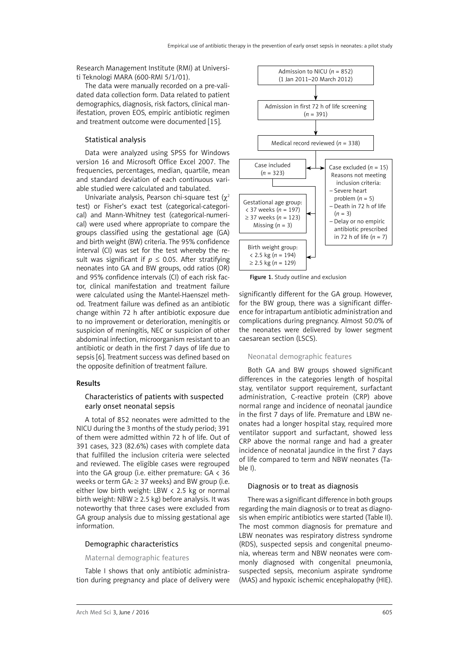Research Management Institute (RMI) at Universiti Teknologi MARA (600-RMI 5/1/01).

The data were manually recorded on a pre-validated data collection form. Data related to patient demographics, diagnosis, risk factors, clinical manifestation, proven EOS, empiric antibiotic regimen and treatment outcome were documented [15].

#### Statistical analysis

Data were analyzed using SPSS for Windows version 16 and Microsoft Office Excel 2007. The frequencies, percentages, median, quartile, mean and standard deviation of each continuous variable studied were calculated and tabulated.

Univariate analysis, Pearson chi-square test  $(\chi^2)$ test) or Fisher's exact test (categorical-categorical) and Mann-Whitney test (categorical-numerical) were used where appropriate to compare the groups classified using the gestational age (GA) and birth weight (BW) criteria. The 95% confidence interval (CI) was set for the test whereby the result was significant if  $p \le 0.05$ . After stratifying neonates into GA and BW groups, odd ratios (OR) and 95% confidence intervals (CI) of each risk factor, clinical manifestation and treatment failure were calculated using the Mantel-Haenszel method. Treatment failure was defined as an antibiotic change within 72 h after antibiotic exposure due to no improvement or deterioration, meningitis or suspicion of meningitis, NEC or suspicion of other abdominal infection, microorganism resistant to an antibiotic or death in the first 7 days of life due to sepsis [6]. Treatment success was defined based on the opposite definition of treatment failure.

### Results

#### Characteristics of patients with suspected early onset neonatal sepsis

A total of 852 neonates were admitted to the NICU during the 3 months of the study period; 391 of them were admitted within 72 h of life. Out of 391 cases, 323 (82.6%) cases with complete data that fulfilled the inclusion criteria were selected and reviewed. The eligible cases were regrouped into the GA group (i.e. either premature:  $GA < 36$ weeks or term  $GA: \geq 37$  weeks) and BW group (i.e. either low birth weight: LBW < 2.5 kg or normal birth weight: NBW  $\geq$  2.5 kg) before analysis. It was noteworthy that three cases were excluded from GA group analysis due to missing gestational age information.

#### Demographic characteristics

#### Maternal demographic features

Table I shows that only antibiotic administration during pregnancy and place of delivery were



Figure 1. Study outline and exclusion

significantly different for the GA group. However, for the BW group, there was a significant difference for intrapartum antibiotic administration and complications during pregnancy. Almost 50.0% of the neonates were delivered by lower segment caesarean section (LSCS).

#### Neonatal demographic features

Both GA and BW groups showed significant differences in the categories length of hospital stay, ventilator support requirement, surfactant administration, C-reactive protein (CRP) above normal range and incidence of neonatal jaundice in the first 7 days of life. Premature and LBW neonates had a longer hospital stay, required more ventilator support and surfactant, showed less CRP above the normal range and had a greater incidence of neonatal jaundice in the first 7 days of life compared to term and NBW neonates (Table I).

#### Diagnosis or to treat as diagnosis

There was a significant difference in both groups regarding the main diagnosis or to treat as diagnosis when empiric antibiotics were started (Table II). The most common diagnosis for premature and LBW neonates was respiratory distress syndrome (RDS), suspected sepsis and congenital pneumonia, whereas term and NBW neonates were commonly diagnosed with congenital pneumonia, suspected sepsis, meconium aspirate syndrome (MAS) and hypoxic ischemic encephalopathy (HIE).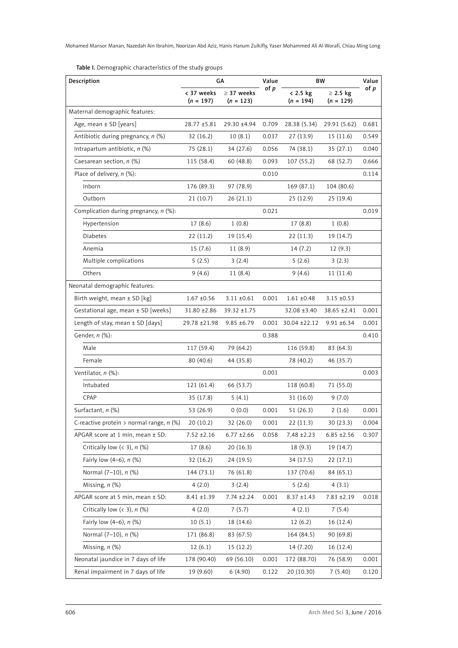Table I. Demographic characteristics of the study groups

| Description                                | GA                        |                                | Value | <b>BW</b>               |                              | Value |
|--------------------------------------------|---------------------------|--------------------------------|-------|-------------------------|------------------------------|-------|
|                                            | < 37 weeks<br>$(n = 197)$ | $\geq$ 37 weeks<br>$(n = 123)$ | of p  | < 2.5 kg<br>$(n = 194)$ | $\geq$ 2.5 kg<br>$(n = 129)$ | of p  |
| Maternal demographic features:             |                           |                                |       |                         |                              |       |
| Age, mean ± SD [years]                     | 28.77 ±5.81               | 29.30 ±4.94                    | 0.709 | 28.38 (5.34)            | 29.91 (5.62)                 | 0.681 |
| Antibiotic during pregnancy, $n$ (%)       | 32(16.2)                  | 10(8.1)                        | 0.037 | 27 (13.9)               | 15(11.6)                     | 0.549 |
| Intrapartum antibiotic, $n$ (%)            | 75 (28.1)                 | 34 (27.6)                      | 0.056 | 74 (38.1)               | 35(27.1)                     | 0.040 |
| Caesarean section, n (%)                   | 115 (58.4)                | 60(48.8)                       | 0.093 | 107(55.2)               | 68 (52.7)                    | 0.666 |
| Place of delivery, $n$ (%):                |                           |                                | 0.010 |                         |                              | 0.114 |
| Inborn                                     | 176 (89.3)                | 97 (78.9)                      |       | 169 (87.1)              | 104 (80.6)                   |       |
| Outborn                                    | 21(10.7)                  | 26(21.1)                       |       | 25(12.9)                | 25(19.4)                     |       |
| Complication during pregnancy, $n$ (%):    |                           |                                | 0.021 |                         |                              | 0.019 |
| Hypertension                               | 17(8.6)                   | 1(0.8)                         |       | 17 (8.8)                | 1(0.8)                       |       |
| Diabetes                                   | 22(11.2)                  | 19 (15.4)                      |       | 22(11.3)                | 19 (14.7)                    |       |
| Anemia                                     | 15 (7.6)                  | 11(8.9)                        |       | 14(7.2)                 | 12(9.3)                      |       |
| Multiple complications                     | 5(2.5)                    | 3(2.4)                         |       | 5(2.6)                  | 3(2.3)                       |       |
| Others                                     | 9(4.6)                    | 11(8.4)                        |       | 9(4.6)                  | 11(11.4)                     |       |
| Neonatal demographic features:             |                           |                                |       |                         |                              |       |
| Birth weight, mean ± SD [kg]               | $1.67 + 0.56$             | $3.11 \pm 0.61$                | 0.001 | $1.61 \pm 0.48$         | $3.15 \pm 0.53$              |       |
| Gestational age, mean ± SD [weeks]         | 31.80 ±2.86               | 39.32 ±1.75                    |       | 32.08 ±3.40             | 38.65 ±2.41                  | 0.001 |
| Length of stay, mean $\pm$ SD [days]       | 29.78 ± 21.98             | $9.85 \pm 6.79$                | 0.001 | $30.04 \pm 22.12$       | $9.91 \pm 6.34$              | 0.001 |
| Gender, n (%):                             |                           |                                | 0.388 |                         |                              | 0.410 |
| Male                                       | 117 (59.4)                | 79 (64.2)                      |       | 116 (59.8)              | 83 (64.3)                    |       |
| Female                                     | 80 (40.6)                 | 44 (35.8)                      |       | 78 (40.2)               | 46 (35.7)                    |       |
| Ventilator, n (%):                         |                           |                                | 0.001 |                         |                              | 0.003 |
| Intubated                                  | 121 (61.4)                | 66 (53.7)                      |       | 118 (60.8)              | 71 (55.0)                    |       |
| CPAP                                       | 35(17.8)                  | 5(4.1)                         |       | 31 (16.0)               | 9(7.0)                       |       |
| Surfactant, n (%)                          | 53 (26.9)                 | 0(0.0)                         | 0.001 | 51(26.3)                | 2(1.6)                       | 0.001 |
| C-reactive protein > normal range, $n$ (%) | 20(10.2)                  | 32 (26.0)                      | 0.001 | 22(11.3)                | 30 (23.3)                    | 0.004 |
| APGAR score at 1 min, mean $\pm$ SD:       | $7.52 \pm 2.16$           | $6.77 \pm 2.66$                | 0.058 | 7.48 ±2.23              | $6.85 + 2.56$                | 0.307 |
| Critically low $(<$ 3), $n$ (%)            | 17(8.6)                   | 20(16.3)                       |       | 18(9.3)                 | 19 (14.7)                    |       |
| Fairly low (4-6), n (%)                    | 32(16.2)                  | 24(19.5)                       |       | 34 (17.5)               | 22(17.1)                     |       |
| Normal (7-10), n (%)                       | 144 (73.1)                | 76 (61.8)                      |       | 137 (70.6)              | 84 (65.1)                    |       |
| Missing, $n$ $(\%)$                        | 4(2.0)                    | 3(2.4)                         |       | 5(2.6)                  | 4(3.1)                       |       |
| APGAR score at 5 min, mean ± SD:           | $8.41 \pm 1.39$           | $7.74 \pm 2.24$                | 0.001 | $8.37 \pm 1.43$         | 7.83 ±2.19                   | 0.018 |
| Critically low $(<$ 3), $n$ (%)            | 4(2.0)                    | 7(5.7)                         |       | 4(2.1)                  | 7(5.4)                       |       |
| Fairly low $(4-6)$ , $n$ $(%)$             | 10(5.1)                   | 18 (14.6)                      |       | 12(6.2)                 | 16(12.4)                     |       |
| Normal (7-10), n (%)                       | 171 (86.8)                | 83 (67.5)                      |       | 164 (84.5)              | 90 (69.8)                    |       |
| Missing, $n$ $(\%)$                        | 12(6.1)                   | 15(12.2)                       |       | 14 (7.20)               | 16(12.4)                     |       |
| Neonatal jaundice in 7 days of life        | 178 (90.40)               | 69 (56.10)                     | 0.001 | 172 (88.70)             | 76 (58.9)                    | 0.001 |
| Renal impairment in 7 days of life         | 19 (9.60)                 | 6(4.90)                        | 0.122 | 20 (10.30)              | 7(5.40)                      | 0.120 |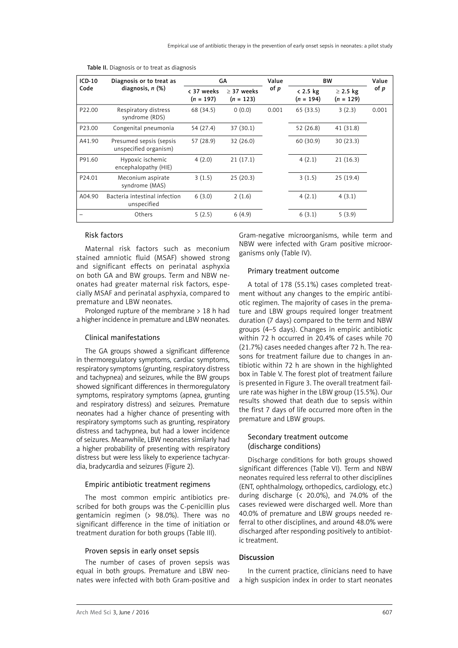| $ICD-10$<br>Diagnosis or to treat as<br>diagnosis, $n$ $(\%)$<br>Code | GA                                               |                             | Value     | <b>BW</b>                 |                              | Value     |       |
|-----------------------------------------------------------------------|--------------------------------------------------|-----------------------------|-----------|---------------------------|------------------------------|-----------|-------|
|                                                                       | < 37 weeks<br>$(n = 197)$                        | $> 37$ weeks<br>$(n = 123)$ | of $p$    | $< 2.5$ kg<br>$(n = 194)$ | $\geq$ 2.5 kg<br>$(n = 129)$ | of p      |       |
| P22.00                                                                | Respiratory distress<br>syndrome (RDS)           | 68 (34.5)                   | 0(0.0)    | 0.001                     | 65 (33.5)                    | 3(2.3)    | 0.001 |
| P <sub>23.00</sub>                                                    | Congenital pneumonia                             | 54 (27.4)                   | 37(30.1)  |                           | 52 (26.8)                    | 41 (31.8) |       |
| A41.90                                                                | Presumed sepsis (sepsis<br>unspecified organism) | 57 (28.9)                   | 32 (26.0) |                           | 60(30.9)                     | 30(23.3)  |       |
| P91.60                                                                | Hypoxic ischemic<br>encephalopathy (HIE)         | 4(2.0)                      | 21(17.1)  |                           | 4(2.1)                       | 21(16.3)  |       |
| P24.01                                                                | Meconium aspirate<br>syndrome (MAS)              | 3(1.5)                      | 25(20.3)  |                           | 3(1.5)                       | 25(19.4)  |       |
| A04.90                                                                | Bacteria intestinal infection<br>unspecified     | 6(3.0)                      | 2(1.6)    |                           | 4(2.1)                       | 4(3.1)    |       |
|                                                                       | Others                                           | 5(2.5)                      | 6(4.9)    |                           | 6(3.1)                       | 5(3.9)    |       |

Table II. Diagnosis or to treat as diagnosis

## Risk factors

Maternal risk factors such as meconium stained amniotic fluid (MSAF) showed strong and significant effects on perinatal asphyxia on both GA and BW groups. Term and NBW neonates had greater maternal risk factors, especially MSAF and perinatal asphyxia, compared to premature and LBW neonates.

Prolonged rupture of the membrane > 18 h had a higher incidence in premature and LBW neonates.

## Clinical manifestations

The GA groups showed a significant difference in thermoregulatory symptoms, cardiac symptoms, respiratory symptoms (grunting, respiratory distress and tachypnea) and seizures, while the BW groups showed significant differences in thermoregulatory symptoms, respiratory symptoms (apnea, grunting and respiratory distress) and seizures. Premature neonates had a higher chance of presenting with respiratory symptoms such as grunting, respiratory distress and tachypnea, but had a lower incidence of seizures. Meanwhile, LBW neonates similarly had a higher probability of presenting with respiratory distress but were less likely to experience tachycardia, bradycardia and seizures (Figure 2).

#### Empiric antibiotic treatment regimens

The most common empiric antibiotics prescribed for both groups was the C-penicillin plus gentamicin regimen (> 98.0%). There was no significant difference in the time of initiation or treatment duration for both groups (Table III).

## Proven sepsis in early onset sepsis

The number of cases of proven sepsis was equal in both groups. Premature and LBW neonates were infected with both Gram-positive and

Gram-negative microorganisms, while term and NBW were infected with Gram positive microorganisms only (Table IV).

#### Primary treatment outcome

A total of 178 (55.1%) cases completed treatment without any changes to the empiric antibiotic regimen. The majority of cases in the premature and LBW groups required longer treatment duration (7 days) compared to the term and NBW groups (4–5 days). Changes in empiric antibiotic within 72 h occurred in 20.4% of cases while 70 (21.7%) cases needed changes after 72 h. The reasons for treatment failure due to changes in antibiotic within 72 h are shown in the highlighted box in Table V. The forest plot of treatment failure is presented in Figure 3. The overall treatment failure rate was higher in the LBW group (15.5%). Our results showed that death due to sepsis within the first 7 days of life occurred more often in the premature and LBW groups.

## Secondary treatment outcome (discharge conditions)

Discharge conditions for both groups showed significant differences (Table VI). Term and NBW neonates required less referral to other disciplines (ENT, ophthalmology, orthopedics, cardiology, etc.) during discharge (< 20.0%), and 74.0% of the cases reviewed were discharged well. More than 40.0% of premature and LBW groups needed referral to other disciplines, and around 48.0% were discharged after responding positively to antibiotic treatment.

#### Discussion

In the current practice, clinicians need to have a high suspicion index in order to start neonates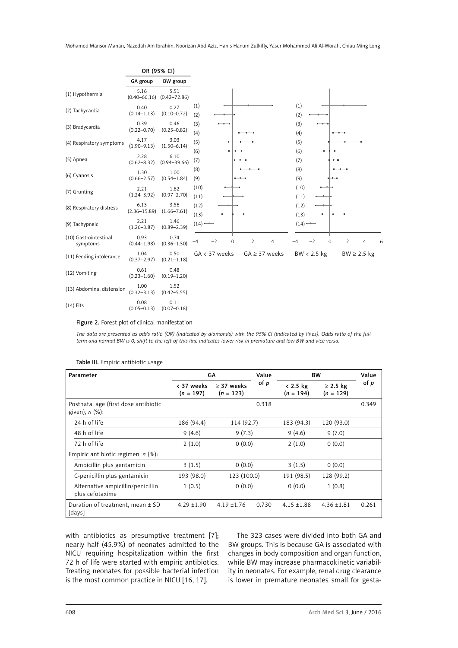

Figure 2. Forest plot of clinical manifestation

*The data are presented as odds ratio (OR) (indicated by diamonds) with the 95% CI (indicated by lines). Odds ratio of the full term and normal BW is 0; shift to the left of this line indicates lower risk in premature and low BW and vice versa.*

| Parameter                                                    | GA                        |                             | Value | <b>BW</b>                 |                              | Value |
|--------------------------------------------------------------|---------------------------|-----------------------------|-------|---------------------------|------------------------------|-------|
|                                                              | < 37 weeks<br>$(n = 197)$ | $> 37$ weeks<br>$(n = 123)$ | of p  | $< 2.5$ kg<br>$(n = 194)$ | $\geq$ 2.5 kg<br>$(n = 129)$ | of p  |
| Postnatal age (first dose antibiotic<br>given), $n$ $(\%)$ : |                           |                             | 0.318 |                           |                              | 0.349 |
| 24 h of life                                                 | 186 (94.4)                | 114 (92.7)                  |       | 183 (94.3)                | 120 (93.0)                   |       |
| 48 h of life                                                 | 9(4.6)                    | 9(7.3)                      |       | 9(4.6)                    | 9(7.0)                       |       |
| 72 h of life                                                 | 2(1.0)                    | 0(0.0)                      |       | 2(1.0)                    | 0(0.0)                       |       |
| Empiric antibiotic regimen, $n$ (%):                         |                           |                             |       |                           |                              |       |
| Ampicillin plus gentamicin                                   | 3(1.5)                    | 0(0.0)                      |       | 3(1.5)                    | 0(0.0)                       |       |
| C-penicillin plus gentamicin                                 | 193 (98.0)                | 123 (100.0)                 |       | 191 (98.5)                | 128 (99.2)                   |       |
| Alternative ampicillin/penicillin<br>plus cefotaxime         | 1(0.5)                    | 0(0.0)                      |       | 0(0.0)                    | 1(0.8)                       |       |
| Duration of treatment, mean $\pm$ SD<br>[days]               | $4.29 \pm 1.90$           | $4.19 \pm 1.76$             | 0.730 | $4.15 \pm 1.88$           | $4.36 \pm 1.81$              | 0.261 |

#### Table III. Empiric antibiotic usage

with antibiotics as presumptive treatment [7]; nearly half (45.9%) of neonates admitted to the NICU requiring hospitalization within the first 72 h of life were started with empiric antibiotics. Treating neonates for possible bacterial infection is the most common practice in NICU [16, 17].

The 323 cases were divided into both GA and BW groups. This is because GA is associated with changes in body composition and organ function, while BW may increase pharmacokinetic variability in neonates. For example, renal drug clearance is lower in premature neonates small for gesta-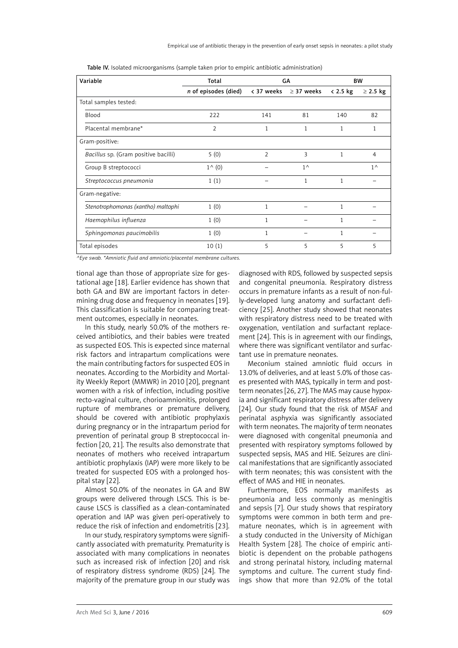| Variable                             | Total                |                | GA                                 | <b>BW</b>  |                |
|--------------------------------------|----------------------|----------------|------------------------------------|------------|----------------|
|                                      | n of episodes (died) |                | $\langle$ 37 weeks $\geq$ 37 weeks | $< 2.5$ kg | $\geq$ 2.5 kg  |
| Total samples tested:                |                      |                |                                    |            |                |
| Blood                                | 222                  | 141            | 81                                 | 140        | 82             |
| Placental membrane*                  | $\overline{2}$       | $\mathbf{1}$   | 1                                  | 1          | 1              |
| Gram-positive:                       |                      |                |                                    |            |                |
| Bacillus sp. (Gram positive bacilli) | 5(0)                 | $\overline{2}$ | 3                                  | 1          | $\overline{4}$ |
| Group B streptococci                 | $1^{\wedge}$ (0)     |                | $1^{\wedge}$                       |            | $1^{\wedge}$   |
| Streptococcus pneumonia              | 1(1)                 |                | 1                                  | 1          |                |
| Gram-negative:                       |                      |                |                                    |            |                |
| Stenotrophomonas (xantho) maltophi   | 1(0)                 | 1              |                                    | 1          |                |
| Haemophilus influenza                | 1(0)                 | 1              |                                    | 1          |                |
| Sphingomonas paucimobilis            | 1(0)                 | 1              |                                    | 1          |                |
| Total episodes                       | 10(1)                | 5              | 5                                  | 5          | 5              |

Table IV. Isolated microorganisms (sample taken prior to empiric antibiotic administration)

*^Eye swab. \*Amniotic fluid and amniotic/placental membrane cultures.*

tional age than those of appropriate size for gestational age [18]. Earlier evidence has shown that both GA and BW are important factors in determining drug dose and frequency in neonates [19]. This classification is suitable for comparing treatment outcomes, especially in neonates.

In this study, nearly 50.0% of the mothers received antibiotics, and their babies were treated as suspected EOS. This is expected since maternal risk factors and intrapartum complications were the main contributing factors for suspected EOS in neonates. According to the Morbidity and Mortality Weekly Report (MMWR) in 2010 [20], pregnant women with a risk of infection, including positive recto-vaginal culture, chorioamnionitis, prolonged rupture of membranes or premature delivery, should be covered with antibiotic prophylaxis during pregnancy or in the intrapartum period for prevention of perinatal group B streptococcal infection [20, 21]. The results also demonstrate that neonates of mothers who received intrapartum antibiotic prophylaxis (IAP) were more likely to be treated for suspected EOS with a prolonged hospital stay [22].

Almost 50.0% of the neonates in GA and BW groups were delivered through LSCS. This is because LSCS is classified as a clean-contaminated operation and IAP was given peri-operatively to reduce the risk of infection and endometritis [23].

In our study, respiratory symptoms were significantly associated with prematurity. Prematurity is associated with many complications in neonates such as increased risk of infection [20] and risk of respiratory distress syndrome (RDS) [24]. The majority of the premature group in our study was

diagnosed with RDS, followed by suspected sepsis and congenital pneumonia. Respiratory distress occurs in premature infants as a result of non-fully-developed lung anatomy and surfactant deficiency [25]. Another study showed that neonates with respiratory distress need to be treated with oxygenation, ventilation and surfactant replacement [24]. This is in agreement with our findings, where there was significant ventilator and surfactant use in premature neonates.

Meconium stained amniotic fluid occurs in 13.0% of deliveries, and at least 5.0% of those cases presented with MAS, typically in term and postterm neonates [26, 27]. The MAS may cause hypoxia and significant respiratory distress after delivery [24]. Our study found that the risk of MSAF and perinatal asphyxia was significantly associated with term neonates. The majority of term neonates were diagnosed with congenital pneumonia and presented with respiratory symptoms followed by suspected sepsis, MAS and HIE. Seizures are clinical manifestations that are significantly associated with term neonates; this was consistent with the effect of MAS and HIE in neonates.

Furthermore, EOS normally manifests as pneumonia and less commonly as meningitis and sepsis [7]. Our study shows that respiratory symptoms were common in both term and premature neonates, which is in agreement with a study conducted in the University of Michigan Health System [28]. The choice of empiric antibiotic is dependent on the probable pathogens and strong perinatal history, including maternal symptoms and culture. The current study findings show that more than 92.0% of the total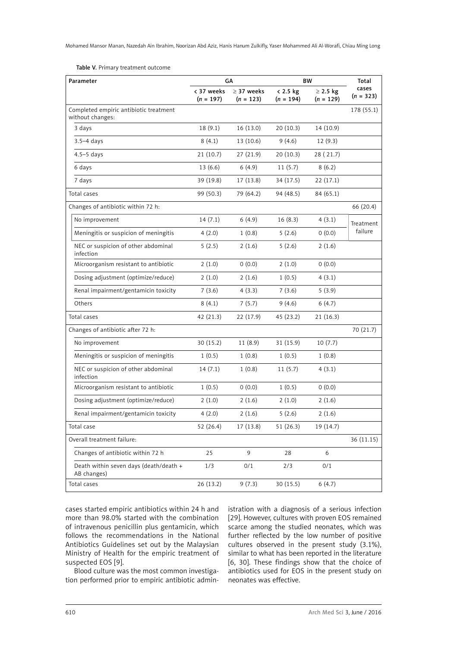Table V. Primary treatment outcome

| Parameter                                                  |                           | GA                             | BW                        | Total                        |                      |
|------------------------------------------------------------|---------------------------|--------------------------------|---------------------------|------------------------------|----------------------|
|                                                            | < 37 weeks<br>$(n = 197)$ | $\geq$ 37 weeks<br>$(n = 123)$ | $< 2.5$ kg<br>$(n = 194)$ | $\geq$ 2.5 kg<br>$(n = 129)$ | cases<br>$(n = 323)$ |
| Completed empiric antibiotic treatment<br>without changes: |                           |                                |                           |                              | 178 (55.1)           |
| 3 days                                                     | 18(9.1)                   | 16 (13.0)                      | 20(10.3)                  | 14 (10.9)                    |                      |
| $3.5 - 4$ days                                             | 8(4.1)                    | 13 (10.6)                      | 9(4.6)                    | 12(9.3)                      |                      |
| $4.5 - 5$ days                                             | 21(10.7)                  | 27(21.9)                       | 20(10.3)                  | 28 (21.7)                    |                      |
| 6 days                                                     | 13(6.6)                   | 6(4.9)                         | 11(5.7)                   | 8(6.2)                       |                      |
| 7 days                                                     | 39 (19.8)                 | 17(13.8)                       | 34 (17.5)                 | 22(17.1)                     |                      |
| Total cases                                                | 99 (50.3)                 | 79 (64.2)                      | 94 (48.5)                 | 84 (65.1)                    |                      |
| Changes of antibiotic within 72 h:                         |                           |                                |                           |                              | 66 (20.4)            |
| No improvement                                             | 14(7.1)                   | 6(4.9)                         | 16(8.3)                   | 4(3.1)                       | Treatment            |
| Meningitis or suspicion of meningitis                      | 4(2.0)                    | 1(0.8)                         | 5(2.6)                    | 0(0.0)                       | failure              |
| NEC or suspicion of other abdominal<br>infection           | 5(2.5)                    | 2(1.6)                         | 5(2.6)                    | 2(1.6)                       |                      |
| Microorganism resistant to antibiotic                      | 2(1.0)                    | 0(0.0)                         | 2(1.0)                    | 0(0.0)                       |                      |
| Dosing adjustment (optimize/reduce)                        | 2(1.0)                    | 2(1.6)                         | 1(0.5)                    | 4(3.1)                       |                      |
| Renal impairment/gentamicin toxicity                       | 7(3.6)                    | 4(3.3)                         | 7(3.6)                    | 5(3.9)                       |                      |
| Others                                                     | 8(4.1)                    | 7(5.7)                         | 9(4.6)                    | 6(4.7)                       |                      |
| Total cases                                                | 42 (21.3)                 | 22 (17.9)                      | 45 (23.2)                 | 21(16.3)                     |                      |
| Changes of antibiotic after 72 h:                          |                           |                                |                           |                              | 70 (21.7)            |
| No improvement                                             | 30(15.2)                  | 11(8.9)                        | 31 (15.9)                 | 10(7.7)                      |                      |
| Meningitis or suspicion of meningitis                      | 1(0.5)                    | 1(0.8)                         | 1(0.5)                    | 1(0.8)                       |                      |
| NEC or suspicion of other abdominal<br>infection           | 14(7.1)                   | 1(0.8)                         | 11(5.7)                   | 4(3.1)                       |                      |
| Microorganism resistant to antibiotic                      | 1(0.5)                    | 0(0.0)                         | 1(0.5)                    | 0(0.0)                       |                      |
| Dosing adjustment (optimize/reduce)                        | 2(1.0)                    | 2(1.6)                         | 2(1.0)                    | 2(1.6)                       |                      |
| Renal impairment/gentamicin toxicity                       | 4(2.0)                    | 2(1.6)                         | 5(2.6)                    | 2(1.6)                       |                      |
| Total case                                                 | 52 (26.4)                 | 17 (13.8)                      | 51(26.3)                  | 19 (14.7)                    |                      |
| Overall treatment failure:                                 |                           |                                |                           |                              | 36 (11.15)           |
| Changes of antibiotic within 72 h                          | 25                        | 9                              | 28                        | 6                            |                      |
| Death within seven days (death/death +<br>AB changes)      | 1/3                       | 0/1                            | 2/3                       | 0/1                          |                      |
| Total cases                                                | 26 (13.2)                 | 9(7.3)                         | 30 (15.5)                 | 6(4.7)                       |                      |

cases started empiric antibiotics within 24 h and more than 98.0% started with the combination of intravenous penicillin plus gentamicin, which follows the recommendations in the National Antibiotics Guidelines set out by the Malaysian Ministry of Health for the empiric treatment of suspected EOS [9].

istration with a diagnosis of a serious infection [29]. However, cultures with proven EOS remained scarce among the studied neonates, which was further reflected by the low number of positive cultures observed in the present study (3.1%), similar to what has been reported in the literature [6, 30]. These findings show that the choice of antibiotics used for EOS in the present study on neonates was effective.

Blood culture was the most common investigation performed prior to empiric antibiotic admin-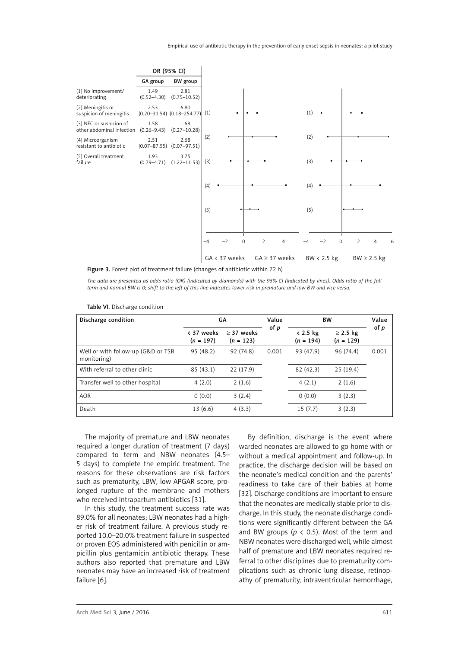

Figure 3. Forest plot of treatment failure (changes of antibiotic within 72 h)

*The data are presented as odds ratio (OR) (indicated by diamonds) with the 95% CI (indicated by lines). Odds ratio of the full term and normal BW is 0; shift to the left of this line indicates lower risk in premature and low BW and vice versa.*

| Discharge condition                               | GА                        |                             | Value | <b>BW</b>                 |                              | Value |
|---------------------------------------------------|---------------------------|-----------------------------|-------|---------------------------|------------------------------|-------|
|                                                   | < 37 weeks<br>$(n = 197)$ | $> 37$ weeks<br>$(n = 123)$ | of p  | $< 2.5$ kg<br>$(n = 194)$ | $\geq$ 2.5 kg<br>$(n = 129)$ | of p  |
| Well or with follow-up (G&D or TSB<br>monitoring) | 95(48.2)                  | 92 (74.8)                   | 0.001 | 93 (47.9)                 | 96 (74.4)                    | 0.001 |
| With referral to other clinic                     | 85(43.1)                  | 22(17.9)                    |       | 82 (42.3)                 | 25(19.4)                     |       |
| Transfer well to other hospital                   | 4(2.0)                    | 2(1.6)                      |       | 4(2.1)                    | 2(1.6)                       |       |
| <b>AOR</b>                                        | 0(0.0)                    | 3(2.4)                      |       | 0(0.0)                    | 3(2.3)                       |       |
| Death                                             | 13(6.6)                   | 4(3.3)                      |       | 15(7.7)                   | 3(2.3)                       |       |

Table VI. Discharge condition

The majority of premature and LBW neonates required a longer duration of treatment (7 days) compared to term and NBW neonates (4.5– 5 days) to complete the empiric treatment. The reasons for these observations are risk factors such as prematurity, LBW, low APGAR score, prolonged rupture of the membrane and mothers who received intrapartum antibiotics [31].

In this study, the treatment success rate was 89.0% for all neonates; LBW neonates had a higher risk of treatment failure. A previous study reported 10.0–20.0% treatment failure in suspected or proven EOS administered with penicillin or ampicillin plus gentamicin antibiotic therapy. These authors also reported that premature and LBW neonates may have an increased risk of treatment failure [6].

By definition, discharge is the event where warded neonates are allowed to go home with or without a medical appointment and follow-up. In practice, the discharge decision will be based on the neonate's medical condition and the parents' readiness to take care of their babies at home [32]. Discharge conditions are important to ensure that the neonates are medically stable prior to discharge. In this study, the neonate discharge conditions were significantly different between the GA and BW groups ( $p < 0.5$ ). Most of the term and NBW neonates were discharged well, while almost half of premature and LBW neonates required referral to other disciplines due to prematurity complications such as chronic lung disease, retinopathy of prematurity, intraventricular hemorrhage,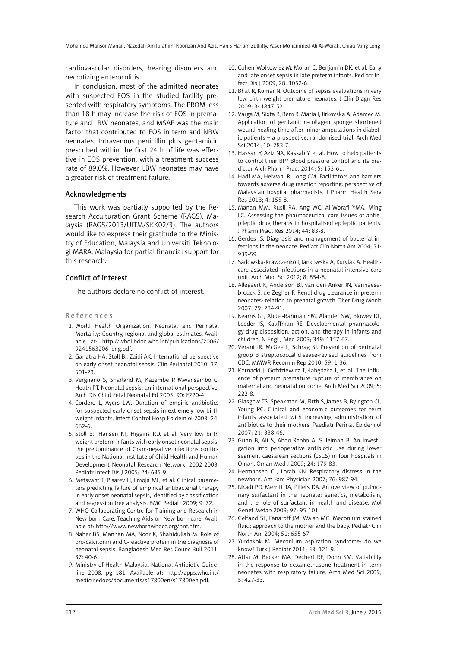cardiovascular disorders, hearing disorders and necrotizing enterocolitis.

In conclusion, most of the admitted neonates with suspected EOS in the studied facility presented with respiratory symptoms. The PROM less than 18 h may increase the risk of EOS in premature and LBW neonates, and MSAF was the main factor that contributed to EOS in term and NBW neonates. Intravenous penicillin plus gentamicin prescribed within the first 24 h of life was effective in EOS prevention, with a treatment success rate of 89.0%. However, LBW neonates may have a greater risk of treatment failure.

#### Acknowledgments

This work was partially supported by the Research Acculturation Grant Scheme (RAGS), Malaysia (RAGS/2013/UITM/SKK02/3). The authors would like to express their gratitude to the Ministry of Education, Malaysia and Universiti Teknologi MARA, Malaysia for partial financial support for this research.

#### Conflict of interest

The authors declare no conflict of interest.

#### References

- 1. World Health Organization. Neonatal and Perinatal Mortality: Country, regional and global estimates, Available at: http://whqlibdoc.who.int/publications/2006/ 9241563206\_eng.pdf.
- 2. Ganatra HA, Stoll BJ, Zaidi AK. International perspective on early-onset neonatal sepsis. Clin Perinatol 2010; 37: 501-23.
- 3. Vergnano S, Sharland M, Kazembe P, Mwansambo C, Heath PT. Neonatal sepsis: an international perspective. Arch Dis Child Fetal Neonatal Ed 2005; 90: F220-4.
- 4. Cordero L, Ayers LW. Duration of empiric antibiotics for suspected early-onset sepsis in extremely low birth weight infants. Infect Control Hosp Epidemiol 2003; 24: 662-6.
- 5. Stoll BJ, Hansen NI, Higgins RD, et al. Very low birth weight preterm infants with early onset neonatal sepsis: the predominance of Gram-negative infections continues in the National Institute of Child Health and Human Development Neonatal Research Network, 2002-2003. Pediatr Infect Dis J 2005; 24: 635-9.
- 6. Metsvaht T, Pisarev H, Ilmoja ML, et al. Clinical parameters predicting failure of empirical antibacterial therapy in early onset neonatal sepsis, identified by classification and regression tree analysis. BMC Pediatr 2009; 9: 72.
- 7. WHO Collaborating Centre for Training and Research in New-born Care. Teaching Aids on New-born care. Available at: http://www.newbornwhocc.org/nnf.htm.
- 8. Naher BS, Mannan MA, Noor K, Shahidullah M. Role of pro-calcitonin and C-reactive protein in the diagnosis of neonatal sepsis. Bangladesh Med Res Counc Bull 2011; 37: 40-6.
- 9. Ministry of Health-Malaysia. National Antibiotic Guideline 2008, pg 181, Available at; http://apps.who.int/ medicinedocs/documents/s17800en/s17800en.pdf.
- 10. Cohen-Wolkowiez M, Moran C, Benjamin DK, et al. Early and late onset sepsis in late preterm infants. Pediatr Infect Dis J 2009; 28: 1052-6.
- 11. Bhat R, Kumar N. Outcome of sepsis evaluations in very low birth weight premature neonates. J Clin Diagn Res 2009; 3: 1847-52.
- 12. Varga M, Sixta B, Bem R, Matia I, Jirkovska A, Adamec M. Application of gentamicin-collagen sponge shortened wound healing time after minor amputations in diabetic patients – a prospective, randomised trial. Arch Med Sci 2014; 10: 283-7.
- 13. Hassan Y, Aziz NA, Kassab Y, et al. How to help patients to control their BP? Blood pressure control and its predictor Arch Pharm Pract 2014; 5: 153-61.
- 14. Hadi MA, Helwani R, Long CM. Facilitators and barriers towards adverse drug reaction reporting: perspective of Malaysian hospital pharmacists. J Pharm Health Serv Res 2013; 4: 155-8.
- 15. Manan MM, Rusli RA, Ang WC, Al-Worafi YMA, Ming LC. Assessing the pharmaceutical care issues of antiepileptic drug therapy in hospitalised epileptic patients. J Pharm Pract Res 2014; 44: 83-8.
- 16. Gerdes JS. Diagnosis and management of bacterial infections in the neonate. Pediatr Clin North Am 2004; 51: 939-59.
- 17. Sadowska-Krawczenko I, Jankowska A, Kurylak A. Healthcare-associated infections in a neonatal intensive care unit. Arch Med Sci 2012; 8: 854-8.
- 18. Allegaert K, Anderson BJ, van den Anker JN, Vanhaesebrouck S, de Zegher F. Renal drug clearance in preterm neonates: relation to prenatal growth. Ther Drug Monit 2007; 29: 284-91.
- 19. Kearns GL, Abdel-Rahman SM, Alander SW, Blowey DL, Leeder JS, Kauffman RE. Developmental pharmacology-drug disposition, action, and therapy in infants and children. N Engl J Med 2003; 349: 1157-67.
- 20. Verani JR, McGee L, Schrag SJ. Prevention of perinatal group B streptococcal disease-revised guidelines from CDC. MMWR Recomm Rep 2010; 59: 1-36.
- 21. Kornacki J, Goździewicz T, Łabędzka I, et al. The influence of preterm premature rupture of membranes on maternal and neonatal outcome. Arch Med Sci 2009; 5: 222-8.
- 22. Glasgow TS, Speakman M, Firth S, James B, Byington CL, Young PC. Clinical and economic outcomes for term infants associated with increasing administration of antibiotics to their mothers. Paediatr Perinat Epidemiol 2007; 21: 338-46.
- 23. Gunn B, Ali S, Abdo-Rabbo A, Suleiman B. An investigation into perioperative antibiotic use during lower segment caesarean sections (LSCS) in four hospitals in Oman. Oman Med J 2009; 24: 179-83.
- 24. Hermansen CL, Lorah KN. Respiratory distress in the newborn. Am Fam Physician 2007; 76: 987-94.
- 25. Nkadi PO, Merritt TA, Pillers DA. An overview of pulmonary surfactant in the neonate: genetics, metabolism, and the role of surfactant in health and disease. Mol Genet Metab 2009; 97: 95-101.
- 26. Gelfand SL, Fanaroff JM, Walsh MC. Meconium stained fluid: approach to the mother and the baby. Pediatr Clin North Am 2004; 51: 655-67.
- 27. Yurdakok M. Meconium aspiration syndrome: do we know? Turk J Pediatr 2011; 53: 121-9.
- 28. Attar M, Becker MA, Dechert RE, Donn SM. Variability in the response to dexamethasone treatment in term neonates with respiratory failure. Arch Med Sci 2009; 5: 427-33.